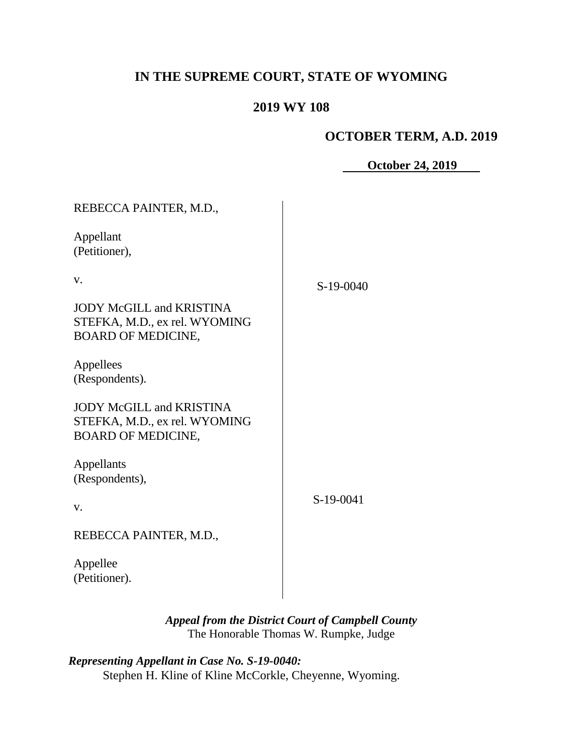# **IN THE SUPREME COURT, STATE OF WYOMING**

## **2019 WY 108**

## **OCTOBER TERM, A.D. 2019**

**October 24, 2019**

| REBECCA PAINTER, M.D.,                                                                        |           |
|-----------------------------------------------------------------------------------------------|-----------|
| Appellant<br>(Petitioner),                                                                    |           |
| V.                                                                                            | S-19-0040 |
| <b>JODY McGILL and KRISTINA</b><br>STEFKA, M.D., ex rel. WYOMING<br><b>BOARD OF MEDICINE,</b> |           |
| Appellees<br>(Respondents).                                                                   |           |
| <b>JODY McGILL and KRISTINA</b><br>STEFKA, M.D., ex rel. WYOMING<br><b>BOARD OF MEDICINE,</b> |           |
| Appellants<br>(Respondents),                                                                  |           |
| V.                                                                                            | S-19-0041 |
| REBECCA PAINTER, M.D.,                                                                        |           |
| Appellee<br>(Petitioner).                                                                     |           |

*Appeal from the District Court of Campbell County* The Honorable Thomas W. Rumpke, Judge

| Representing Appellant in Case No. S-19-0040:          |  |
|--------------------------------------------------------|--|
| Stephen H. Kline of Kline McCorkle, Cheyenne, Wyoming. |  |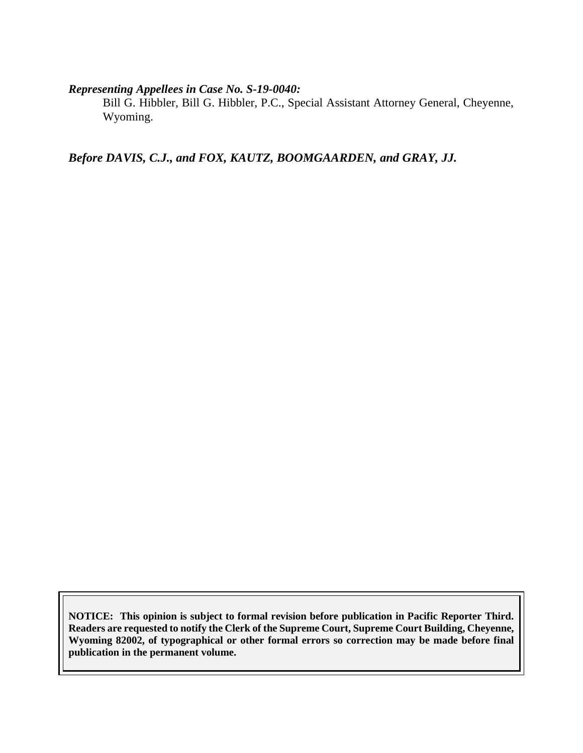#### *Representing Appellees in Case No. S-19-0040:*

Bill G. Hibbler, Bill G. Hibbler, P.C., Special Assistant Attorney General, Cheyenne, Wyoming.

*Before DAVIS, C.J., and FOX, KAUTZ, BOOMGAARDEN, and GRAY, JJ.*

**NOTICE: This opinion is subject to formal revision before publication in Pacific Reporter Third. Readers are requested to notify the Clerk of the Supreme Court, Supreme Court Building, Cheyenne, Wyoming 82002, of typographical or other formal errors so correction may be made before final publication in the permanent volume.**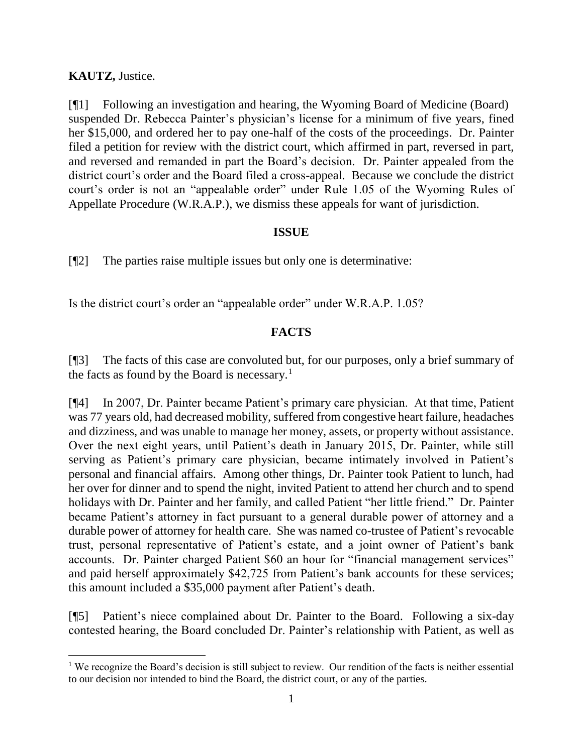#### **KAUTZ,** Justice.

l

[¶1] Following an investigation and hearing, the Wyoming Board of Medicine (Board) suspended Dr. Rebecca Painter's physician's license for a minimum of five years, fined her \$15,000, and ordered her to pay one-half of the costs of the proceedings. Dr. Painter filed a petition for review with the district court, which affirmed in part, reversed in part, and reversed and remanded in part the Board's decision. Dr. Painter appealed from the district court's order and the Board filed a cross-appeal. Because we conclude the district court's order is not an "appealable order" under Rule 1.05 of the Wyoming Rules of Appellate Procedure (W.R.A.P.), we dismiss these appeals for want of jurisdiction.

#### **ISSUE**

[¶2] The parties raise multiple issues but only one is determinative:

Is the district court's order an "appealable order" under W.R.A.P. 1.05?

### **FACTS**

[¶3] The facts of this case are convoluted but, for our purposes, only a brief summary of the facts as found by the Board is necessary.<sup>1</sup>

[¶4] In 2007, Dr. Painter became Patient's primary care physician. At that time, Patient was 77 years old, had decreased mobility, suffered from congestive heart failure, headaches and dizziness, and was unable to manage her money, assets, or property without assistance. Over the next eight years, until Patient's death in January 2015, Dr. Painter, while still serving as Patient's primary care physician, became intimately involved in Patient's personal and financial affairs. Among other things, Dr. Painter took Patient to lunch, had her over for dinner and to spend the night, invited Patient to attend her church and to spend holidays with Dr. Painter and her family, and called Patient "her little friend." Dr. Painter became Patient's attorney in fact pursuant to a general durable power of attorney and a durable power of attorney for health care. She was named co-trustee of Patient's revocable trust, personal representative of Patient's estate, and a joint owner of Patient's bank accounts. Dr. Painter charged Patient \$60 an hour for "financial management services" and paid herself approximately \$42,725 from Patient's bank accounts for these services; this amount included a \$35,000 payment after Patient's death.

[¶5] Patient's niece complained about Dr. Painter to the Board. Following a six-day contested hearing, the Board concluded Dr. Painter's relationship with Patient, as well as

<sup>&</sup>lt;sup>1</sup> We recognize the Board's decision is still subject to review. Our rendition of the facts is neither essential to our decision nor intended to bind the Board, the district court, or any of the parties.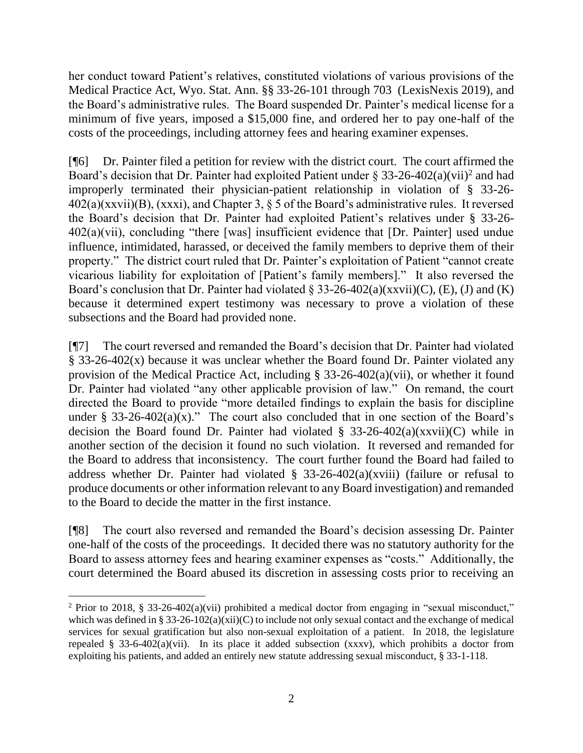her conduct toward Patient's relatives, constituted violations of various provisions of the Medical Practice Act, Wyo. Stat. Ann. §§ 33-26-101 through 703 (LexisNexis 2019), and the Board's administrative rules. The Board suspended Dr. Painter's medical license for a minimum of five years, imposed a \$15,000 fine, and ordered her to pay one-half of the costs of the proceedings, including attorney fees and hearing examiner expenses.

[¶6] Dr. Painter filed a petition for review with the district court. The court affirmed the Board's decision that Dr. Painter had exploited Patient under § 33-26-402(a)(vii)<sup>2</sup> and had improperly terminated their physician-patient relationship in violation of § 33-26-  $402(a)(xxvii)(B)$ ,  $(xxxi)$ , and Chapter 3, § 5 of the Board's administrative rules. It reversed the Board's decision that Dr. Painter had exploited Patient's relatives under § 33-26- 402(a)(vii), concluding "there [was] insufficient evidence that [Dr. Painter] used undue influence, intimidated, harassed, or deceived the family members to deprive them of their property." The district court ruled that Dr. Painter's exploitation of Patient "cannot create vicarious liability for exploitation of [Patient's family members]." It also reversed the Board's conclusion that Dr. Painter had violated § 33-26-402(a)(xxvii)(C), (E), (J) and (K) because it determined expert testimony was necessary to prove a violation of these subsections and the Board had provided none.

[¶7] The court reversed and remanded the Board's decision that Dr. Painter had violated § 33-26-402(x) because it was unclear whether the Board found Dr. Painter violated any provision of the Medical Practice Act, including § 33-26-402(a)(vii), or whether it found Dr. Painter had violated "any other applicable provision of law." On remand, the court directed the Board to provide "more detailed findings to explain the basis for discipline under § 33-26-402(a)(x)." The court also concluded that in one section of the Board's decision the Board found Dr. Painter had violated  $\S$  33-26-402(a)(xxvii)(C) while in another section of the decision it found no such violation. It reversed and remanded for the Board to address that inconsistency. The court further found the Board had failed to address whether Dr. Painter had violated  $\S$  33-26-402(a)(xviii) (failure or refusal to produce documents or other information relevant to any Board investigation) and remanded to the Board to decide the matter in the first instance.

[¶8] The court also reversed and remanded the Board's decision assessing Dr. Painter one-half of the costs of the proceedings. It decided there was no statutory authority for the Board to assess attorney fees and hearing examiner expenses as "costs." Additionally, the court determined the Board abused its discretion in assessing costs prior to receiving an

 <sup>2</sup> Prior to 2018, § 33-26-402(a)(vii) prohibited a medical doctor from engaging in "sexual misconduct," which was defined in § 33-26-102(a)(xii)(C) to include not only sexual contact and the exchange of medical services for sexual gratification but also non-sexual exploitation of a patient. In 2018, the legislature repealed § 33-6-402(a)(vii). In its place it added subsection (xxxv), which prohibits a doctor from exploiting his patients, and added an entirely new statute addressing sexual misconduct, § 33-1-118.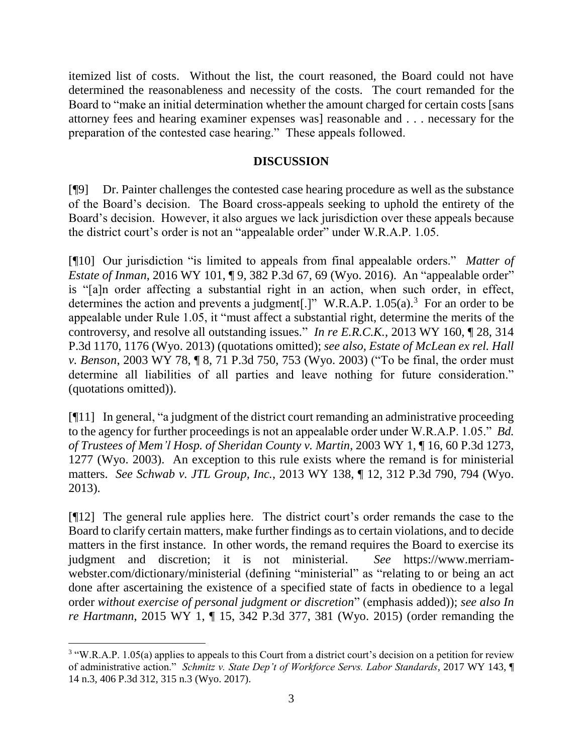itemized list of costs. Without the list, the court reasoned, the Board could not have determined the reasonableness and necessity of the costs. The court remanded for the Board to "make an initial determination whether the amount charged for certain costs [sans attorney fees and hearing examiner expenses was] reasonable and . . . necessary for the preparation of the contested case hearing." These appeals followed.

### **DISCUSSION**

[¶9] Dr. Painter challenges the contested case hearing procedure as well as the substance of the Board's decision. The Board cross-appeals seeking to uphold the entirety of the Board's decision. However, it also argues we lack jurisdiction over these appeals because the district court's order is not an "appealable order" under W.R.A.P. 1.05.

[¶10] Our jurisdiction "is limited to appeals from final appealable orders." *Matter of Estate of Inman*, 2016 WY 101, 19, 382 P.3d 67, 69 (Wyo. 2016). An "appealable order" is "[a]n order affecting a substantial right in an action, when such order, in effect, determines the action and prevents a judgment.  $\vert$ " W.R.A.P. 1.05(a).<sup>3</sup> For an order to be appealable under Rule 1.05, it "must affect a substantial right, determine the merits of the controversy, and resolve all outstanding issues." *In re E.R.C.K.*, 2013 WY 160, ¶ 28, 314 P.3d 1170, 1176 (Wyo. 2013) (quotations omitted); *see also, Estate of McLean ex rel. Hall v. Benson*, 2003 WY 78, ¶ 8, 71 P.3d 750, 753 (Wyo. 2003) ("To be final, the order must determine all liabilities of all parties and leave nothing for future consideration." (quotations omitted)).

[¶11] In general, "a judgment of the district court remanding an administrative proceeding to the agency for further proceedings is not an appealable order under W.R.A.P. 1.05." *Bd. of Trustees of Mem'l Hosp. of Sheridan County v. Martin*, 2003 WY 1, ¶ 16, 60 P.3d 1273, 1277 (Wyo. 2003). An exception to this rule exists where the remand is for ministerial matters. *See Schwab v. JTL Group, Inc.*, 2013 WY 138, ¶ 12, 312 P.3d 790, 794 (Wyo. 2013).

[¶12] The general rule applies here. The district court's order remands the case to the Board to clarify certain matters, make further findings as to certain violations, and to decide matters in the first instance. In other words, the remand requires the Board to exercise its judgment and discretion; it is not ministerial. *See* https://www.merriamwebster.com/dictionary/ministerial (defining "ministerial" as "relating to or being an act done after ascertaining the existence of a specified state of facts in obedience to a legal order *without exercise of personal judgment or discretion*" (emphasis added)); *see also In re Hartmann*, 2015 WY 1, ¶ 15, 342 P.3d 377, 381 (Wyo. 2015) (order remanding the

 <sup>3</sup> "W.R.A.P. 1.05(a) applies to appeals to this Court from a district court's decision on a petition for review of administrative action." *Schmitz v. State Dep't of Workforce Servs. Labor Standards*, 2017 WY 143, ¶ 14 n.3, 406 P.3d 312, 315 n.3 (Wyo. 2017).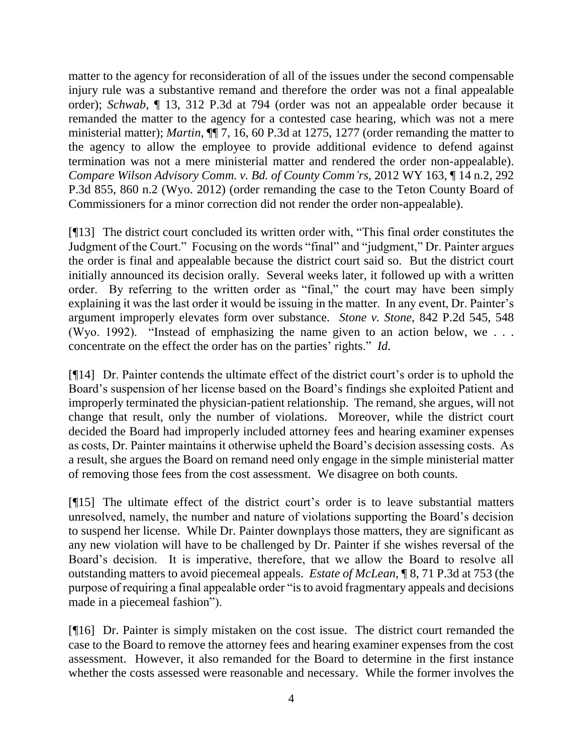matter to the agency for reconsideration of all of the issues under the second compensable injury rule was a substantive remand and therefore the order was not a final appealable order); *Schwab*, ¶ 13, 312 P.3d at 794 (order was not an appealable order because it remanded the matter to the agency for a contested case hearing, which was not a mere ministerial matter); *Martin*, ¶¶ 7, 16, 60 P.3d at 1275, 1277 (order remanding the matter to the agency to allow the employee to provide additional evidence to defend against termination was not a mere ministerial matter and rendered the order non-appealable). *Compare Wilson Advisory Comm. v. Bd. of County Comm'rs*, 2012 WY 163, ¶ 14 n.2, 292 P.3d 855, 860 n.2 (Wyo. 2012) (order remanding the case to the Teton County Board of Commissioners for a minor correction did not render the order non-appealable).

[¶13] The district court concluded its written order with, "This final order constitutes the Judgment of the Court." Focusing on the words "final" and "judgment," Dr. Painter argues the order is final and appealable because the district court said so. But the district court initially announced its decision orally. Several weeks later, it followed up with a written order. By referring to the written order as "final," the court may have been simply explaining it was the last order it would be issuing in the matter. In any event, Dr. Painter's argument improperly elevates form over substance. *Stone v. Stone*, 842 P.2d 545, 548 (Wyo. 1992). "Instead of emphasizing the name given to an action below, we . . . concentrate on the effect the order has on the parties' rights." *Id*.

[¶14] Dr. Painter contends the ultimate effect of the district court's order is to uphold the Board's suspension of her license based on the Board's findings she exploited Patient and improperly terminated the physician-patient relationship. The remand, she argues, will not change that result, only the number of violations. Moreover, while the district court decided the Board had improperly included attorney fees and hearing examiner expenses as costs, Dr. Painter maintains it otherwise upheld the Board's decision assessing costs. As a result, she argues the Board on remand need only engage in the simple ministerial matter of removing those fees from the cost assessment. We disagree on both counts.

[¶15] The ultimate effect of the district court's order is to leave substantial matters unresolved, namely, the number and nature of violations supporting the Board's decision to suspend her license. While Dr. Painter downplays those matters, they are significant as any new violation will have to be challenged by Dr. Painter if she wishes reversal of the Board's decision. It is imperative, therefore, that we allow the Board to resolve all outstanding matters to avoid piecemeal appeals. *Estate of McLean*, ¶ 8, 71 P.3d at 753 (the purpose of requiring a final appealable order "is to avoid fragmentary appeals and decisions made in a piecemeal fashion").

[¶16] Dr. Painter is simply mistaken on the cost issue. The district court remanded the case to the Board to remove the attorney fees and hearing examiner expenses from the cost assessment. However, it also remanded for the Board to determine in the first instance whether the costs assessed were reasonable and necessary. While the former involves the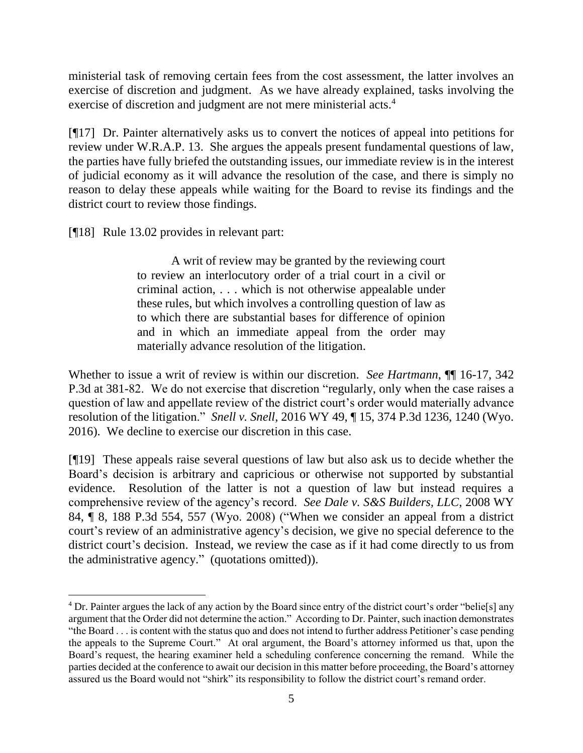ministerial task of removing certain fees from the cost assessment, the latter involves an exercise of discretion and judgment. As we have already explained, tasks involving the exercise of discretion and judgment are not mere ministerial acts.<sup>4</sup>

[¶17] Dr. Painter alternatively asks us to convert the notices of appeal into petitions for review under W.R.A.P. 13. She argues the appeals present fundamental questions of law, the parties have fully briefed the outstanding issues, our immediate review is in the interest of judicial economy as it will advance the resolution of the case, and there is simply no reason to delay these appeals while waiting for the Board to revise its findings and the district court to review those findings.

[¶18] Rule 13.02 provides in relevant part:

 $\overline{a}$ 

A writ of review may be granted by the reviewing court to review an interlocutory order of a trial court in a civil or criminal action, . . . which is not otherwise appealable under these rules, but which involves a controlling question of law as to which there are substantial bases for difference of opinion and in which an immediate appeal from the order may materially advance resolution of the litigation.

Whether to issue a writ of review is within our discretion. *See Hartmann*,  $\P$  16-17, 342 P.3d at 381-82. We do not exercise that discretion "regularly, only when the case raises a question of law and appellate review of the district court's order would materially advance resolution of the litigation." *Snell v. Snell*, 2016 WY 49, ¶ 15, 374 P.3d 1236, 1240 (Wyo. 2016). We decline to exercise our discretion in this case.

[¶19] These appeals raise several questions of law but also ask us to decide whether the Board's decision is arbitrary and capricious or otherwise not supported by substantial evidence. Resolution of the latter is not a question of law but instead requires a comprehensive review of the agency's record. *See Dale v. S&S Builders, LLC*, 2008 WY 84, ¶ 8, 188 P.3d 554, 557 (Wyo. 2008) ("When we consider an appeal from a district court's review of an administrative agency's decision, we give no special deference to the district court's decision. Instead, we review the case as if it had come directly to us from the administrative agency." (quotations omitted)).

<sup>&</sup>lt;sup>4</sup> Dr. Painter argues the lack of any action by the Board since entry of the district court's order "belie<sup>[s]</sup> any argument that the Order did not determine the action." According to Dr. Painter, such inaction demonstrates "the Board . . . is content with the status quo and does not intend to further address Petitioner's case pending the appeals to the Supreme Court." At oral argument, the Board's attorney informed us that, upon the Board's request, the hearing examiner held a scheduling conference concerning the remand. While the parties decided at the conference to await our decision in this matter before proceeding, the Board's attorney assured us the Board would not "shirk" its responsibility to follow the district court's remand order.